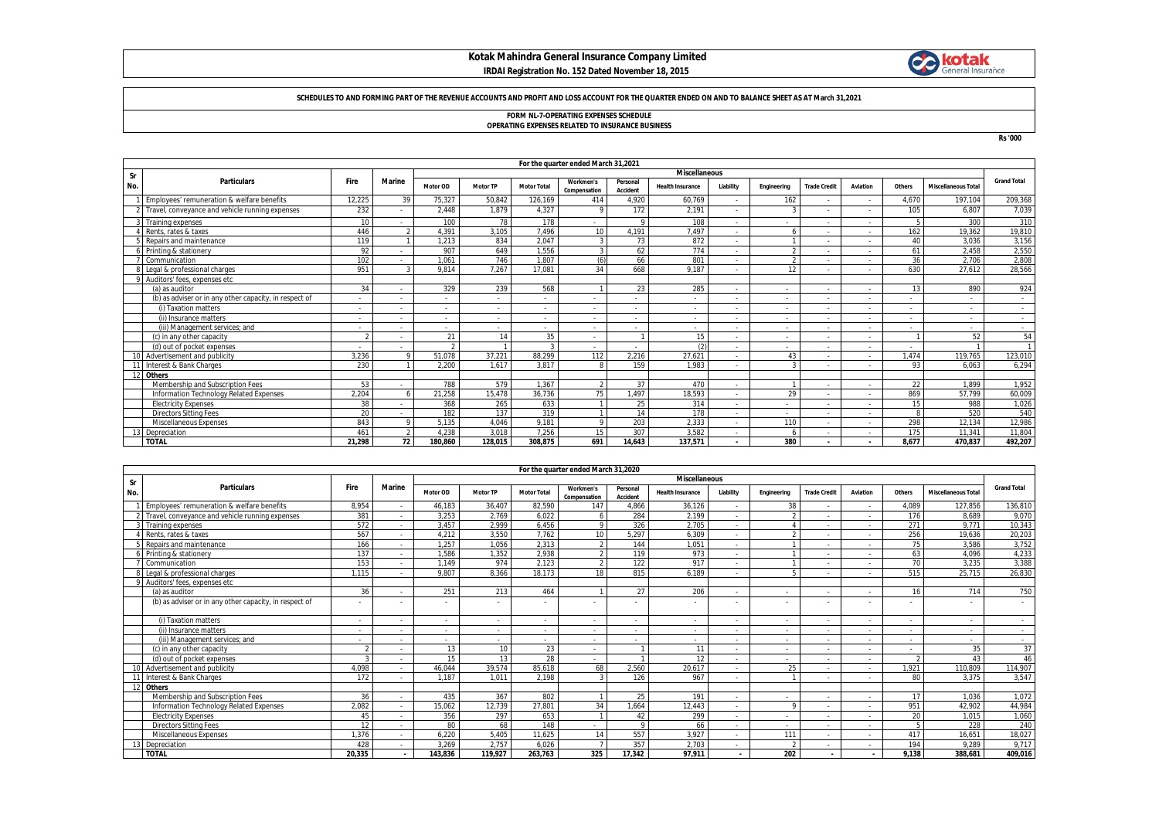## **Kotak Mahindra General Insurance Company Limited IRDAI Registration No. 152 Dated November 18, 2015**



#### **SCHEDULES TO AND FORMING PART OF THE REVENUE ACCOUNTS AND PROFIT AND LOSS ACCOUNT FOR THE QUARTER ENDED ON AND TO BALANCE SHEET AS AT March 31,2021**

# **FORM NL-7-OPERATING EXPENSES SCHEDULE OPERATING EXPENSES RELATED TO INSURANCE BUSINESS**

**Rs '000**

|     | For the quarter ended March 31,2021                    |                          |                |          |                 |                    |                           |                      |                          |                          |                          |                          |                          |        |                            |                    |
|-----|--------------------------------------------------------|--------------------------|----------------|----------|-----------------|--------------------|---------------------------|----------------------|--------------------------|--------------------------|--------------------------|--------------------------|--------------------------|--------|----------------------------|--------------------|
| Sr  | <b>Miscellaneous</b>                                   |                          |                |          |                 |                    |                           |                      |                          |                          |                          |                          |                          |        |                            |                    |
| No. | <b>Particulars</b>                                     | Fire                     | <b>Marine</b>  | Motor OD | <b>Motor TP</b> | <b>Motor Total</b> | Workmen's<br>Compensation | Personal<br>Accident | <b>Health Insurance</b>  | Liability                | Engineering              | <b>Trade Credit</b>      | Aviation                 | Others | <b>Miscellaneous Total</b> | <b>Grand Total</b> |
|     | Employees' remuneration & welfare benefits             | 12,225                   | 39             | 75,327   | 50,842          | 126,169            | 414                       | 4,920                | 60,769                   | $\sim$                   | 162                      | $\overline{\phantom{a}}$ | $\sim$                   | 4,670  | 197,104                    | 209,368            |
|     | 2 Travel, conveyance and vehicle running expenses      | 232                      |                | 2.448    | 1.879           | 4.327              |                           | 172                  | 2,191                    | $\sim$                   |                          |                          |                          | 105    | 6.807                      | 7,039              |
|     | 3 Training expenses                                    | 10                       |                | 100      | 78              | 178                |                           | $\Omega$             | 108                      | $\sim$                   | $\overline{\phantom{a}}$ |                          |                          |        | 300                        | 310                |
|     | Rents, rates & taxes                                   | 446                      | $\mathfrak{D}$ | 4.391    | 3.105           | 7.496              | 10 <sup>10</sup>          | 4.191                | 7.497                    | $\sim$                   | 6                        |                          |                          | 162    | 19,362                     | 19,810             |
|     | Repairs and maintenance                                | 119                      |                | 1.213    | 834             | 2.047              |                           | 73                   | 872                      | $\overline{\phantom{a}}$ |                          |                          |                          | 40     | 3.036                      | 3,156              |
|     | Printing & stationery                                  | 92                       |                | 907      | 649             | 1,556              |                           | 62                   | 774                      | $\overline{\phantom{a}}$ |                          |                          |                          | 61     | 2,458                      | 2,550              |
|     | Communication                                          | 102                      |                | 1.061    | 746             | 1.807              | (6)                       | 66                   | 801                      | $\overline{\phantom{a}}$ | $\Omega$                 |                          |                          | 36     | 2.706                      | 2,808              |
|     | Legal & professional charges                           | 951                      |                | 9.814    | 7.267           | 17.081             | 34                        | 668                  | 9.187                    | $\overline{\phantom{a}}$ | 12                       |                          |                          | 630    | 27.612                     | 28,566             |
|     | 9 Auditors' fees, expenses etc.                        |                          |                |          |                 |                    |                           |                      |                          |                          |                          |                          |                          |        |                            |                    |
|     | (a) as auditor                                         | 34                       |                | 329      | 239             | 568                |                           | 23                   | 285                      |                          | $\overline{\phantom{a}}$ |                          | $\sim$                   | 13     | 890                        | 924                |
|     | (b) as adviser or in any other capacity, in respect of |                          |                |          |                 |                    |                           |                      |                          | $\sim$                   | $\overline{\phantom{a}}$ |                          |                          |        |                            |                    |
|     | (i) Taxation matters                                   | $\overline{\phantom{a}}$ |                |          |                 |                    |                           |                      | $\overline{\phantom{a}}$ | $\sim$                   | $\overline{\phantom{a}}$ |                          |                          |        |                            | $\sim$             |
|     | (ii) Insurance matters                                 | <b>.</b>                 |                |          |                 |                    |                           |                      | $\overline{\phantom{0}}$ | $\sim$                   | $\overline{\phantom{a}}$ |                          | $\overline{\phantom{a}}$ |        |                            | $\sim$             |
|     | (iii) Management services; and                         |                          |                |          |                 |                    |                           |                      |                          | $\sim$                   | $\overline{\phantom{a}}$ |                          |                          |        |                            | $\sim$             |
|     | (c) in any other capacity                              | $\gamma$                 |                | 21       | 14              | 35                 |                           |                      | 15                       | $\overline{\phantom{a}}$ | $\overline{\phantom{0}}$ |                          |                          |        | 52                         | 54                 |
|     | (d) out of pocket expenses                             |                          |                |          |                 | $\sim$             |                           |                      | (2)                      | $\overline{\phantom{a}}$ | $\overline{\phantom{0}}$ |                          |                          |        |                            | $\mathbf{A}$       |
|     | 10 Advertisement and publicity                         | 3.236                    | $\circ$        | 51.078   | 37,221          | 88.299             | 112                       | 2.216                | 27,621                   | $\overline{\phantom{a}}$ | 43                       |                          |                          | 1.474  | 119.765                    | 123,010            |
|     | Interest & Bank Charges                                | 230                      |                | 2.200    | 1.617           | 3.817              |                           | 159                  | 1.983                    | $\sim$                   |                          |                          |                          | 93     | 6.063                      | 6,294              |
|     | 12 Others                                              |                          |                |          |                 |                    |                           |                      |                          |                          |                          |                          |                          |        |                            |                    |
|     | Membership and Subscription Fees                       | 53                       |                | 788      | 579             | 1.367              |                           | 37                   | 470                      | $\sim$                   |                          |                          | $\overline{\phantom{a}}$ | 22     | 1.899                      | 1.952              |
|     | Information Technology Related Expenses                | 2.204                    |                | 21,258   | 15.478          | 36,736             | 75                        | 1,497                | 18,593                   | $\overline{\phantom{a}}$ | 29                       |                          |                          | 869    | 57,799                     | 60,009             |
|     | <b>Electricity Expenses</b>                            | 38                       |                | 368      | 265             | 633                |                           | 25                   | 314                      | $\sim$                   | $\overline{\phantom{a}}$ |                          |                          | 15     | 988                        | 1,026              |
|     | <b>Directors Sitting Fees</b>                          | 20                       |                | 182      | 137             | 319                |                           | 14                   | 178                      | $\overline{\phantom{a}}$ | $\overline{\phantom{a}}$ |                          | $\overline{\phantom{a}}$ |        | 520                        | 540                |
|     | Miscellaneous Expenses                                 | 843                      |                | 5.135    | 4.046           | 9.181              |                           | 203                  | 2.333                    | $\sim$                   | 110                      |                          | $\overline{\phantom{a}}$ | 298    | 12.134                     | 12,986             |
|     | 3 Depreciation                                         | 461                      | $\mathfrak{D}$ | 4.238    | 3.018           | 7.256              | 15                        | 307                  | 3.582                    | $\sim$                   |                          |                          |                          | 175    | 11.341                     | 11,804             |
|     | <b>TOTAL</b>                                           | 21.298                   | 72             | 180.860  | 128.015         | 308.875            | 691                       | 14.643               | 137.571                  | $\mathbf{r}$             | 380                      |                          |                          | 8.677  | 470.837                    | 492,207            |

|     |                                                        |                          |               |                          |                 |                          | For the quarter ended March 31,2020 |                      |                          |                          |                          |                     |          |        |                            |                          |
|-----|--------------------------------------------------------|--------------------------|---------------|--------------------------|-----------------|--------------------------|-------------------------------------|----------------------|--------------------------|--------------------------|--------------------------|---------------------|----------|--------|----------------------------|--------------------------|
| Sr  |                                                        |                          |               | <b>Miscellaneous</b>     |                 |                          |                                     |                      |                          |                          |                          |                     |          |        |                            |                          |
| No. | <b>Particulars</b>                                     | <b>Fire</b>              | <b>Marine</b> | Motor OD                 | <b>Motor TP</b> | <b>Motor Total</b>       | Workmen's<br>Compensation           | Personal<br>Accident | <b>Health Insurance</b>  | Liability                | Engineering              | <b>Trade Credit</b> | Aviation | Others | <b>Miscellaneous Total</b> | <b>Grand Total</b>       |
|     | Employees' remuneration & welfare benefits             | 8,954                    |               | 46.183                   | 36.407          | 82.590                   | 147                                 | 4.866                | 36.126                   |                          | 38                       |                     |          | 4.089  | 127.856                    | 136,810                  |
|     | 2 Travel, convevance and vehicle running expenses      | 381                      |               | 3.253                    | 2.769           | 6.022                    |                                     | 284                  | 2.199                    | $\overline{\phantom{a}}$ |                          |                     |          | 176    | 8.689                      | 9,070                    |
|     | Training expenses                                      | 572                      |               | 3.457                    | 2.999           | 6.456                    | $\circ$                             | 326                  | 2.705                    |                          |                          |                     |          | 271    | 9.771                      | 10,343                   |
|     | Rents, rates & taxes                                   | 567                      |               | 4.212                    | 3.550           | 7.762                    | 10 <sup>1</sup>                     | 5.297                | 6.309                    | $\sim$                   |                          |                     |          | 256    | 19.636                     | 20,203                   |
|     | Repairs and maintenance                                | 166                      |               | 1.257                    | 1.056           | 2.313                    | $\mathfrak{D}$                      | 144                  | 1.051                    | $\sim$                   |                          |                     |          | 75     | 3.586                      | 3,752                    |
|     | Printing & stationery                                  | 137                      |               | 1.586                    | 1.352           | 2,938                    | $\mathcal{L}$                       | 119                  | 973                      | $\overline{\phantom{a}}$ |                          |                     |          | 63     | 4.096                      | 4,233                    |
|     | Communication                                          | 153                      |               | 1.149                    | 974             | 2.123                    | $\mathcal{D}$                       | 122                  | 917                      |                          |                          |                     |          | 70     | 3.235                      | 3,388                    |
|     | Legal & professional charges                           | 1.115                    |               | 9.807                    | 8.366           | 18.173                   | 18                                  | 815                  | 6.189                    |                          |                          |                     |          | 515    | 25.715                     | 26,830                   |
|     | Auditors' fees, expenses etc                           |                          |               |                          |                 |                          |                                     |                      |                          |                          |                          |                     |          |        |                            |                          |
|     | (a) as auditor                                         | 36                       |               | 251                      | 213             | 464                      |                                     | 27                   | 206                      | $\overline{\phantom{a}}$ | $\overline{\phantom{a}}$ |                     |          | 16     | 714                        | 750                      |
|     | (b) as adviser or in any other capacity, in respect of |                          |               |                          |                 |                          |                                     |                      |                          |                          |                          |                     |          |        |                            |                          |
|     | (i) Taxation matters                                   | $\overline{\phantom{a}}$ |               | $\overline{\phantom{a}}$ |                 | $\overline{\phantom{a}}$ | $\sim$                              | $\overline{a}$       | $\overline{\phantom{a}}$ |                          | $\sim$                   |                     |          | $\sim$ | $\sim$                     | $\overline{\phantom{a}}$ |
|     | (ii) Insurance matters                                 | $\overline{\phantom{a}}$ |               | ٠                        |                 |                          |                                     |                      |                          |                          | $\overline{\phantom{a}}$ |                     |          |        | $\overline{\phantom{a}}$   | $\overline{\phantom{a}}$ |
|     | (iii) Management services: and                         |                          |               | ۰.                       |                 |                          |                                     |                      |                          |                          | $\overline{\phantom{a}}$ |                     |          | $\sim$ | $\overline{\phantom{a}}$   | $\overline{\phantom{a}}$ |
|     | (c) in any other capacity                              |                          |               | 13                       | 10              | 23                       | $\overline{\phantom{a}}$            |                      | 11                       |                          | $\overline{\phantom{a}}$ |                     |          |        | 35                         | 37                       |
|     | (d) out of pocket expenses                             |                          |               | 15                       | 13              | 28                       | $\sim$                              |                      | 12                       |                          | $\sim$                   |                     |          |        | 43                         | 46                       |
|     | 10 Advertisement and publicity                         | 4.098                    |               | 46.044                   | 39.574          | 85.618                   | 68                                  | 2.560                | 20.617                   | $\sim$                   | 25                       |                     |          | 1.921  | 110.809                    | 114,907                  |
|     | 11 Interest & Bank Charges                             | 172                      |               | 1.187                    | 1.011           | 2.198                    | $\mathbf{3}$                        | 126                  | 967                      |                          |                          |                     |          | 80     | 3.375                      | 3.547                    |
| 12  | Others                                                 |                          |               |                          |                 |                          |                                     |                      |                          |                          |                          |                     |          |        |                            |                          |
|     | Membership and Subscription Fees                       | 36                       |               | 435                      | 367             | 802                      |                                     | 25                   | 191                      |                          | $\overline{\phantom{a}}$ |                     |          | 17     | 1.036                      | 1,072                    |
|     | Information Technology Related Expenses                | 2,082                    |               | 15.062                   | 12.739          | 27,801                   | 34                                  | .664                 | 12.443                   | $\overline{\phantom{a}}$ |                          |                     |          | 951    | 42.902                     | 44,984                   |
|     | <b>Electricity Expenses</b>                            | 45                       |               | 356                      | 297             | 653                      |                                     | 42                   | 299                      | $\overline{\phantom{a}}$ | $\sim$                   |                     |          | 20     | 1.015                      | 1,060                    |
|     | <b>Directors Sitting Fees</b>                          | 12                       |               | 80                       | 68              | 148                      |                                     | 9                    | 66                       | $\sim$                   | $\sim$                   |                     |          |        | 228                        | 240                      |
|     | Miscellaneous Expenses                                 | 1,376                    |               | 6,220                    | 5,405           | 11,625                   | 14                                  | 557                  | 3,927                    |                          | 111                      |                     |          | 417    | 16.651                     | 18,027                   |
|     | 13 Depreciation                                        | 428                      |               | 3.269                    | 2.757           | 6.026                    |                                     | 357                  | 2.703                    |                          |                          |                     |          | 194    | 9.289                      | 9,717                    |
|     | <b>TOTAL</b>                                           | 20.335                   |               | 143.836                  | 119.927         | 263.763                  | 325                                 | 17.342               | 97.911                   |                          | 202                      |                     |          | 9.138  | 388.681                    | 409,016                  |